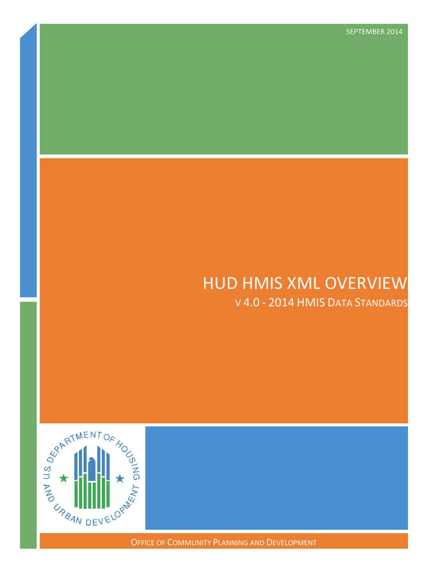# HUD HMIS XML OVERVIEW

V 4.0 - 2014 HMIS DATA STANDARDS

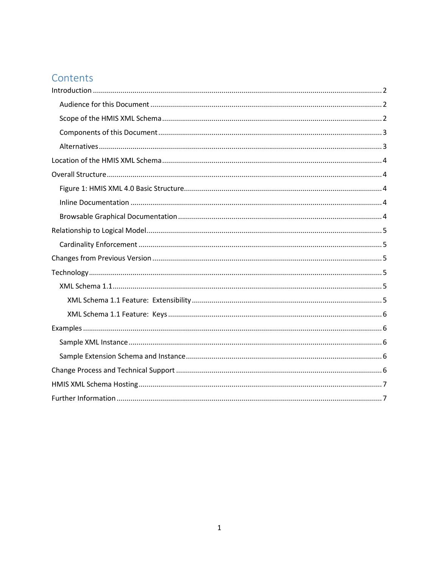# Contents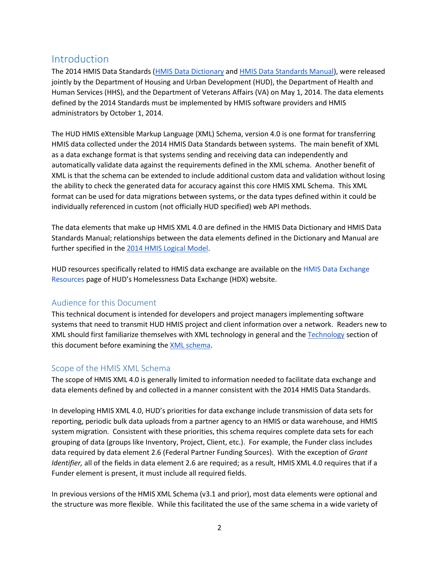# <span id="page-2-0"></span>Introduction

The 2014 HMIS Data Standards [\(HMIS Data Dictionary](https://www.hudexchange.info/resources/documents/HMIS-Data-Dictionary.pdf) and [HMIS Data Standards Manual\)](https://www.hudexchange.info/resources/documents/HMIS-Data-Standards-Manual.pdf), were released jointly by the Department of Housing and Urban Development (HUD), the Department of Health and Human Services (HHS), and the Department of Veterans Affairs (VA) on May 1, 2014. The data elements defined by the 2014 Standards must be implemented by HMIS software providers and HMIS administrators by October 1, 2014.

The HUD HMIS eXtensible Markup Language (XML) Schema, version 4.0 is one format for transferring HMIS data collected under the 2014 HMIS Data Standards between systems. The main benefit of XML as a data exchange format is that systems sending and receiving data can independently and automatically validate data against the requirements defined in the XML schema. Another benefit of XML is that the schema can be extended to include additional custom data and validation without losing the ability to check the generated data for accuracy against this core HMIS XML Schema. This XML format can be used for data migrations between systems, or the data types defined within it could be individually referenced in custom (not officially HUD specified) web API methods.

The data elements that make up HMIS XML 4.0 are defined in the HMIS Data Dictionary and HMIS Data Standards Manual; relationships between the data elements defined in the Dictionary and Manual are further specified in the [2014 HMIS Logical Model.](http://www.hudhdx.info/Resources/Vendors/4_0/HMIS_Logical_Model.pdf)

HUD resources specifically related to HMIS data exchange are available on the [HMIS Data Exchange](http://www.hudhdx.info/VendorResources.aspx)  [Resources](http://www.hudhdx.info/VendorResources.aspx) page of HUD's Homelessness Data Exchange (HDX) website.

### <span id="page-2-1"></span>Audience for this Document

This technical document is intended for developers and project managers implementing software systems that need to transmit HUD HMIS project and client information over a network. Readers new to XML should first familiarize themselves with XML technology in general and the [Technology](#page-5-3) section of this document before examining the [XML schema.](http://www.hudhdx.info/Resources/Vendors/4_0/HUD_HMIS.xsd)

### <span id="page-2-2"></span>Scope of the HMIS XML Schema

The scope of HMIS XML 4.0 is generally limited to information needed to facilitate data exchange and data elements defined by and collected in a manner consistent with the 2014 HMIS Data Standards.

In developing HMIS XML 4.0, HUD's priorities for data exchange include transmission of data sets for reporting, periodic bulk data uploads from a partner agency to an HMIS or data warehouse, and HMIS system migration. Consistent with these priorities, this schema requires complete data sets for each grouping of data (groups like Inventory, Project, Client, etc.). For example, the Funder class includes data required by data element 2.6 (Federal Partner Funding Sources). With the exception of *Grant Identifier,* all of the fields in data element 2.6 are required; as a result, HMIS XML 4.0 requires that if a Funder element is present, it must include all required fields.

In previous versions of the HMIS XML Schema (v3.1 and prior), most data elements were optional and the structure was more flexible. While this facilitated the use of the same schema in a wide variety of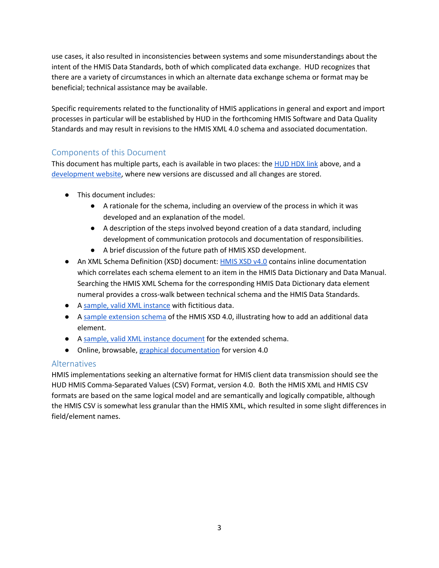use cases, it also resulted in inconsistencies between systems and some misunderstandings about the intent of the HMIS Data Standards, both of which complicated data exchange. HUD recognizes that there are a variety of circumstances in which an alternate data exchange schema or format may be beneficial; technical assistance may be available.

Specific requirements related to the functionality of HMIS applications in general and export and import processes in particular will be established by HUD in the forthcoming HMIS Software and Data Quality Standards and may result in revisions to the HMIS XML 4.0 schema and associated documentation.

## <span id="page-3-0"></span>Components of this Document

This document has multiple parts, each is available in two places: th[e HUD HDX link](http://www.hudhdx.info/VendorResources.aspx) above, and a [development website,](https://github.com/hmis-interop/xml) where new versions are discussed and all changes are stored.

- This document includes:
	- A rationale for the schema, including an overview of the process in which it was developed and an explanation of the model.
	- A description of the steps involved beyond creation of a data standard, including development of communication protocols and documentation of responsibilities.
	- A brief discussion of the future path of HMIS XSD development.
- An XML Schema Definition (XSD) document: [HMIS XSD v4.0](http://www.hudhdx.info/Resources/Vendors/4_0/HUD_HMIS.xsd) contains inline documentation which correlates each schema element to an item in the HMIS Data Dictionary and Data Manual. Searching the HMIS XML Schema for the corresponding HMIS Data Dictionary data element numeral provides a cross-walk between technical schema and the HMIS Data Standards.
- A [sample, valid XML i](http://www.hudhdx.info/Resources/Vendors/4_0/HUD_HMIS_Instance.xml)nstance with fictitious data.
- A [sample extension schema](http://www.hudhdx.info/Resources/Vendors/4_0/HUD_HMIS_Example_Extension.xsd) of the HMIS XSD 4.0, illustrating how to add an additional data element.
- A [sample, valid XML instance document](http://www.hudhdx.info/Resources/Vendors/4_0/HUD_HMIS_Example_Extension_Instance.xml) for the extended schema.
- Online, browsable[, graphical documentation](http://www.hudhdx.info/Resources/Vendors/4_0/docs/HUD_HMIS_XSD.html) for version 4.0

### <span id="page-3-1"></span>**Alternatives**

HMIS implementations seeking an alternative format for HMIS client data transmission should see the HUD HMIS Comma-Separated Values (CSV) Format, version 4.0. Both the HMIS XML and HMIS CSV formats are based on the same logical model and are semantically and logically compatible, although the HMIS CSV is somewhat less granular than the HMIS XML, which resulted in some slight differences in field/element names.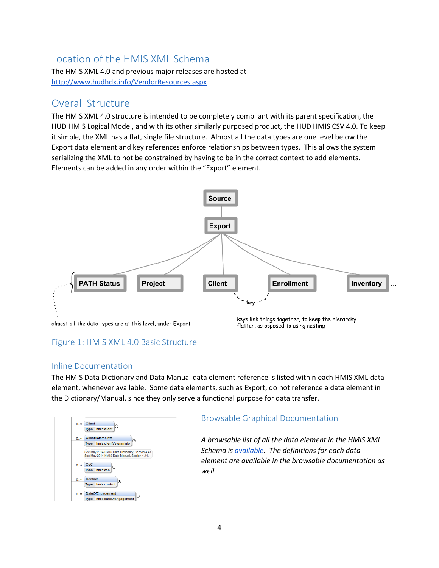# <span id="page-4-0"></span>Location of the HMIS XML Schema

The HMIS XML 4.0 and previous major releases are hosted at <http://www.hudhdx.info/VendorResources.aspx>

# <span id="page-4-1"></span>Overall Structure

The HMIS XML 4.0 structure is intended to be completely compliant with its parent specification, the HUD HMIS Logical Model, and with its other similarly purposed product, the HUD HMIS CSV 4.0. To keep it simple, the XML has a flat, single file structure. Almost all the data types are one level below the Export data element and key references enforce relationships between types. This allows the system serializing the XML to not be constrained by having to be in the correct context to add elements. Elements can be added in any order within the "Export" element.



# <span id="page-4-2"></span>Figure 1: HMIS XML 4.0 Basic Structure

#### <span id="page-4-3"></span>Inline Documentation

The HMIS Data Dictionary and Data Manual data element reference is listed within each HMIS XML data element, whenever available. Some data elements, such as Export, do not reference a data element in the Dictionary/Manual, since they only serve a functional purpose for data transfer.



### <span id="page-4-4"></span>Browsable Graphical Documentation

*A browsable list of all the data element in the HMIS XML Schema is [available.](http://www.hudhdx.info/Resources/Vendors/4_0/docs/HUD_HMIS_XSD.html) The definitions for each data element are available in the browsable documentation as well.*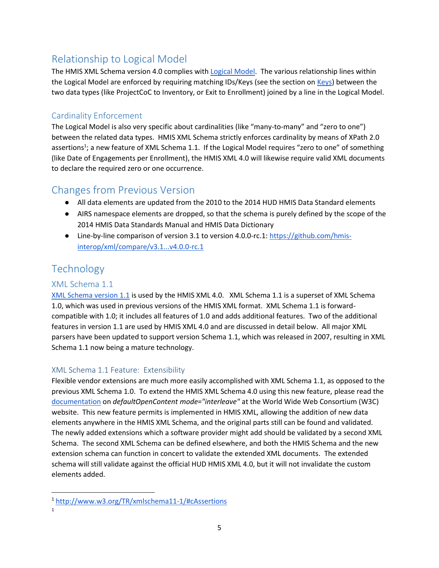# <span id="page-5-0"></span>Relationship to Logical Model

The HMIS XML Schema version 4.0 complies wit[h Logical Model.](http://www.hudhdx.info/Resources/Vendors/4_0/HMIS_Logical_Model.png) The various relationship lines within the Logical Model are enforced by requiring matching IDs/Keys (see the section on [Keys\)](#page-6-0) between the two data types (like ProjectCoC to Inventory, or Exit to Enrollment) joined by a line in the Logical Model.

## <span id="page-5-1"></span>Cardinality Enforcement

The Logical Model is also very specific about cardinalities (like "many-to-many" and "zero to one") between the related data types. HMIS XML Schema strictly enforces cardinality by means of XPath 2.0 assertions<sup>1</sup>; a new feature of XML Schema 1.1. If the Logical Model requires "zero to one" of something (like Date of Engagements per Enrollment), the HMIS XML 4.0 will likewise require valid XML documents to declare the required zero or one occurrence.

# <span id="page-5-2"></span>Changes from Previous Version

- All data elements are updated from the 2010 to the 2014 HUD HMIS Data Standard elements
- AIRS namespace elements are dropped, so that the schema is purely defined by the scope of the 2014 HMIS Data Standards Manual and HMIS Data Dictionary
- Line-by-line comparison of version 3.1 to version 4.0.0-rc.1: [https://github.com/hmis](https://github.com/hmis-interop/xml/compare/v3.1...v4.0.0-rc.1)[interop/xml/compare/v3.1...v4.0.0-rc.1](https://github.com/hmis-interop/xml/compare/v3.1...v4.0.0-rc.1)

# <span id="page-5-3"></span>**Technology**

## <span id="page-5-4"></span>XML Schema 1.1

[XML Schema version 1.1](http://www.w3.org/TR/xmlschema11-1/) is used by the HMIS XML 4.0. XML Schema 1.1 is a superset of XML Schema 1.0, which was used in previous versions of the HMIS XML format. XML Schema 1.1 is forwardcompatible with 1.0; it includes all features of 1.0 and adds additional features. Two of the additional features in version 1.1 are used by HMIS XML 4.0 and are discussed in detail below. All major XML parsers have been updated to support version Schema 1.1, which was released in 2007, resulting in XML Schema 1.1 now being a mature technology.

### <span id="page-5-5"></span>XML Schema 1.1 Feature: Extensibility

Flexible vendor extensions are much more easily accomplished with XML Schema 1.1, as opposed to the previous XML Schema 1.0. To extend the HMIS XML Schema 4.0 using this new feature, please read the [documentation](http://www.w3.org/TR/xmlschema-guide2versioning/#openContent) on *defaultOpenContent mode="interleave"* at the World Wide Web Consortium (W3C) website. This new feature permits is implemented in HMIS XML, allowing the addition of new data elements anywhere in the HMIS XML Schema, and the original parts still can be found and validated. The newly added extensions which a software provider might add should be validated by a second XML Schema. The second XML Schema can be defined elsewhere, and both the HMIS Schema and the new extension schema can function in concert to validate the extended XML documents. The extended schema will still validate against the official HUD HMIS XML 4.0, but it will not invalidate the custom elements added.

 $\overline{\phantom{a}}$ 

<sup>1</sup> <http://www.w3.org/TR/xmlschema11-1/#cAssertions>

<sup>1</sup>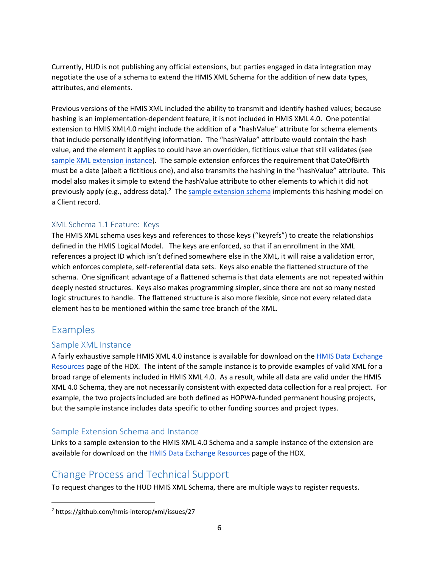Currently, HUD is not publishing any official extensions, but parties engaged in data integration may negotiate the use of a schema to extend the HMIS XML Schema for the addition of new data types, attributes, and elements.

Previous versions of the HMIS XML included the ability to transmit and identify hashed values; because hashing is an implementation-dependent feature, it is not included in HMIS XML 4.0. One potential extension to HMIS XML4.0 might include the addition of a "hashValue" attribute for schema elements that include personally identifying information. The "hashValue" attribute would contain the hash value, and the element it applies to could have an overridden, fictitious value that still validates (see [sample XML extension instance\)](http://www.hudhdx.info/Resources/Vendors/4_0/HUD_HMIS_Example_Extension_Instance.xml). The sample extension enforces the requirement that DateOfBirth must be a date (albeit a fictitious one), and also transmits the hashing in the "hashValue" attribute. This model also makes it simple to extend the hashValue attribute to other elements to which it did not previously apply (e.g., address data).<sup>2</sup> The [sample extension schema](http://www.hudhdx.info/Resources/Vendors/4_0/HUD_HMIS_Example_Extension.xsd) implements this hashing model on a Client record.

#### <span id="page-6-0"></span>XML Schema 1.1 Feature: Keys

The HMIS XML schema uses keys and references to those keys ("keyrefs") to create the relationships defined in the HMIS Logical Model. The keys are enforced, so that if an enrollment in the XML references a project ID which isn't defined somewhere else in the XML, it will raise a validation error, which enforces complete, self-referential data sets. Keys also enable the flattened structure of the schema. One significant advantage of a flattened schema is that data elements are not repeated within deeply nested structures. Keys also makes programming simpler, since there are not so many nested logic structures to handle. The flattened structure is also more flexible, since not every related data element has to be mentioned within the same tree branch of the XML.

## <span id="page-6-1"></span>Examples

 $\overline{\phantom{a}}$ 

#### <span id="page-6-2"></span>Sample XML Instance

A fairly exhaustive sample HMIS XML 4.0 instance is available for download on th[e HMIS Data Exchange](http://www.hudhdx.info/VendorResources.aspx)  [Resources](http://www.hudhdx.info/VendorResources.aspx) page of the HDX. The intent of the sample instance is to provide examples of valid XML for a broad range of elements included in HMIS XML 4.0. As a result, while all data are valid under the HMIS XML 4.0 Schema, they are not necessarily consistent with expected data collection for a real project. For example, the two projects included are both defined as HOPWA-funded permanent housing projects, but the sample instance includes data specific to other funding sources and project types.

#### <span id="page-6-3"></span>Sample Extension Schema and Instance

Links to a sample extension to the HMIS XML 4.0 Schema and a sample instance of the extension are available for download on the [HMIS Data Exchange Resources](http://www.hudhdx.info/VendorResources.aspx) page of the HDX.

## <span id="page-6-4"></span>Change Process and Technical Support

To request changes to the HUD HMIS XML Schema, there are multiple ways to register requests.

<sup>2</sup> https://github.com/hmis-interop/xml/issues/27